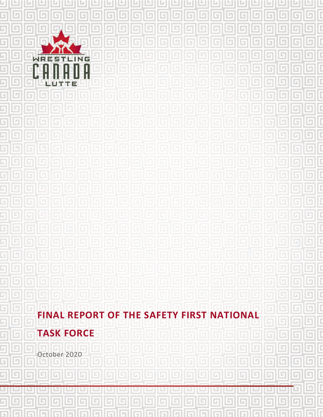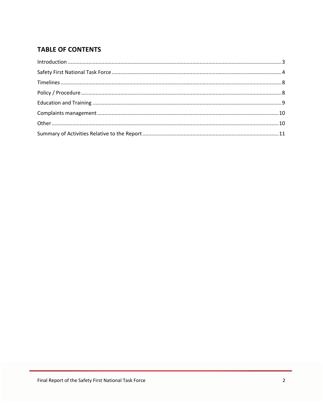# **TABLE OF CONTENTS**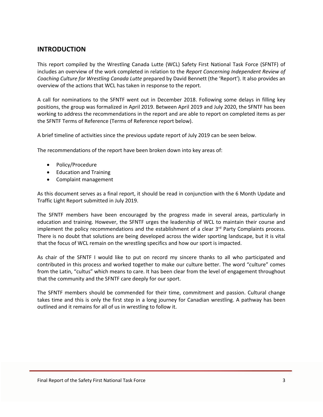### **INTRODUCTION**

This report compiled by the Wrestling Canada Lutte (WCL) Safety First National Task Force (SFNTF) of includes an overview of the work completed in relation to the *Report Concerning Independent Review of Coaching Culture for Wrestling Canada Lutte* prepared by David Bennett (the 'Report'). It also provides an overview of the actions that WCL has taken in response to the report.

A call for nominations to the SFNTF went out in December 2018. Following some delays in filling key positions, the group was formalized in April 2019. Between April 2019 and July 2020, the SFNTF has been working to address the recommendations in the report and are able to report on completed items as per the SFNTF Terms of Reference (Terms of Reference report below).

A brief timeline of activities since the previous update report of July 2019 can be seen below.

The recommendations of the report have been broken down into key areas of:

- Policy/Procedure
- Education and Training
- Complaint management

As this document serves as a final report, it should be read in conjunction with the 6 Month Update and Traffic Light Report submitted in July 2019.

The SFNTF members have been encouraged by the progress made in several areas, particularly in education and training. However, the SFNTF urges the leadership of WCL to maintain their course and implement the policy recommendations and the establishment of a clear  $3<sup>rd</sup>$  Party Complaints process. There is no doubt that solutions are being developed across the wider sporting landscape, but it is vital that the focus of WCL remain on the wrestling specifics and how our sport is impacted.

As chair of the SFNTF I would like to put on record my sincere thanks to all who participated and contributed in this process and worked together to make our culture better. The word "culture" comes from the Latin, "cultus" which means to care. It has been clear from the level of engagement throughout that the community and the SFNTF care deeply for our sport.

The SFNTF members should be commended for their time, commitment and passion. Cultural change takes time and this is only the first step in a long journey for Canadian wrestling. A pathway has been outlined and it remains for all of us in wrestling to follow it.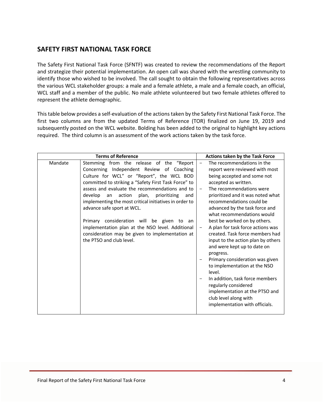### **SAFETY FIRST NATIONAL TASK FORCE**

The Safety First National Task Force (SFNTF) was created to review the recommendations of the Report and strategize their potential implementation. An open call was shared with the wrestling community to identify those who wished to be involved. The call sought to obtain the following representatives across the various WCL stakeholder groups: a male and a female athlete, a male and a female coach, an official, WCL staff and a member of the public. No male athlete volunteered but two female athletes offered to represent the athlete demographic.

This table below provides a self-evaluation of the actions taken by the Safety First National Task Force. The first two columns are from the updated Terms of Reference (TOR) finalized on June 19, 2019 and subsequently posted on the WCL website. Bolding has been added to the original to highlight key actions required. The third column is an assessment of the work actions taken by the task force.

|         | <b>Terms of Reference</b>                                                                                                                                                                                                                                                                                                                                                                                                                                                                                                                                                    | Actions taken by the Task Force                                                                                                                                                                                                                                                                                                                                                                                                                                                                                                                                                                                                                                                                                                             |
|---------|------------------------------------------------------------------------------------------------------------------------------------------------------------------------------------------------------------------------------------------------------------------------------------------------------------------------------------------------------------------------------------------------------------------------------------------------------------------------------------------------------------------------------------------------------------------------------|---------------------------------------------------------------------------------------------------------------------------------------------------------------------------------------------------------------------------------------------------------------------------------------------------------------------------------------------------------------------------------------------------------------------------------------------------------------------------------------------------------------------------------------------------------------------------------------------------------------------------------------------------------------------------------------------------------------------------------------------|
| Mandate | Stemming from the release of the "Report<br>Concerning Independent Review of Coaching<br>Culture for WCL" or "Report", the WCL BOD<br>committed to striking a "Safety First Task Force" to<br>assess and evaluate the recommendations and to<br>develop<br>action plan,<br>prioritizing<br>an<br>and<br>implementing the most critical initiatives in order to<br>advance safe sport at WCL.<br>Primary consideration will be given to an<br>implementation plan at the NSO level. Additional<br>consideration may be given to implementation at<br>the PTSO and club level. | The recommendations in the<br>report were reviewed with most<br>being accepted and some not<br>accepted as written.<br>The recommendations were<br>prioritized and it was noted what<br>recommendations could be<br>advanced by the task force and<br>what recommendations would<br>best be worked on by others.<br>A plan for task force actions was<br>$\overline{\phantom{m}}$<br>created. Task force members had<br>input to the action plan by others<br>and were kept up to date on<br>progress.<br>Primary consideration was given<br>to implementation at the NSO<br>level.<br>In addition, task force members<br>regularly considered<br>implementation at the PTSO and<br>club level along with<br>implementation with officials. |
|         |                                                                                                                                                                                                                                                                                                                                                                                                                                                                                                                                                                              |                                                                                                                                                                                                                                                                                                                                                                                                                                                                                                                                                                                                                                                                                                                                             |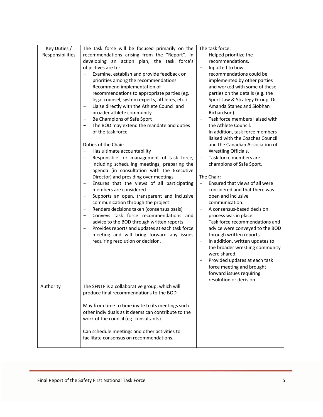| Key Duties /<br>Responsibilities | The task force will be focused primarily on the<br>recommendations arising from the "Report". In<br>developing an action plan, the task force's<br>objectives are to:<br>Examine, establish and provide feedback on<br>$\qquad \qquad -$<br>priorities among the recommendations<br>Recommend implementation of<br>$\overline{\phantom{a}}$<br>recommendations to appropriate parties (eg.<br>legal counsel, system experts, athletes, etc.)<br>Liaise directly with the Athlete Council and<br>$\qquad \qquad -$<br>broader athlete community<br>Be Champions of Safe Sport<br>$\overline{\phantom{a}}$<br>The BOD may extend the mandate and duties<br>$\qquad \qquad -$<br>of the task force<br>Duties of the Chair:<br>Has ultimate accountability<br>$\overline{\phantom{a}}$<br>Responsible for management of task force,<br>$\qquad \qquad -$<br>including scheduling meetings, preparing the<br>agenda (in consultation with the Executive<br>Director) and presiding over meetings<br>Ensures that the views of all participating<br>$\qquad \qquad -$<br>members are considered<br>Supports an open, transparent and inclusive<br>$\qquad \qquad -$<br>communication through the project<br>Renders decisions taken (consensus basis)<br>Conveys task force recommendations and<br>advice to the BOD through written reports<br>Provides reports and updates at each task force<br>meeting and will bring forward any issues<br>requiring resolution or decision. | The task force:<br>Helped prioritize the<br>$\qquad \qquad -$<br>recommendations.<br>Inputted to how<br>-<br>recommendations could be<br>implemented by other parties<br>and worked with some of these<br>parties on the details (e.g. the<br>Sport Law & Strategy Group, Dr.<br>Amanda Stanec and Siobhan<br>Richardson).<br>Task force members liaised with<br>the Athlete Council.<br>In addition, task force members<br>$\qquad \qquad -$<br>liaised with the Coaches Council<br>and the Canadian Association of<br>Wrestling Officials.<br>Task force members are<br>$\overline{\phantom{a}}$<br>champions of Safe Sport.<br>The Chair:<br>Ensured that views of all were<br>$\qquad \qquad -$<br>considered and that there was<br>open and inclusive<br>communication.<br>A consensus-based decision<br>process was in place.<br>Task force recommendations and<br>advice were conveyed to the BOD<br>through written reports.<br>In addition, written updates to<br>the broader wrestling community<br>were shared.<br>Provided updates at each task<br>force meeting and brought<br>forward issues requiring<br>resolution or decision. |
|----------------------------------|-----------------------------------------------------------------------------------------------------------------------------------------------------------------------------------------------------------------------------------------------------------------------------------------------------------------------------------------------------------------------------------------------------------------------------------------------------------------------------------------------------------------------------------------------------------------------------------------------------------------------------------------------------------------------------------------------------------------------------------------------------------------------------------------------------------------------------------------------------------------------------------------------------------------------------------------------------------------------------------------------------------------------------------------------------------------------------------------------------------------------------------------------------------------------------------------------------------------------------------------------------------------------------------------------------------------------------------------------------------------------------------------------------------------------------------------------------------------------------|-------------------------------------------------------------------------------------------------------------------------------------------------------------------------------------------------------------------------------------------------------------------------------------------------------------------------------------------------------------------------------------------------------------------------------------------------------------------------------------------------------------------------------------------------------------------------------------------------------------------------------------------------------------------------------------------------------------------------------------------------------------------------------------------------------------------------------------------------------------------------------------------------------------------------------------------------------------------------------------------------------------------------------------------------------------------------------------------------------------------------------------------------|
| Authority                        | The SFNTF is a collaborative group, which will<br>produce final recommendations to the BOD.<br>May from time to time invite to its meetings such<br>other individuals as it deems can contribute to the<br>work of the council (eg. consultants).                                                                                                                                                                                                                                                                                                                                                                                                                                                                                                                                                                                                                                                                                                                                                                                                                                                                                                                                                                                                                                                                                                                                                                                                                           |                                                                                                                                                                                                                                                                                                                                                                                                                                                                                                                                                                                                                                                                                                                                                                                                                                                                                                                                                                                                                                                                                                                                                 |
|                                  | Can schedule meetings and other activities to<br>facilitate consensus on recommendations.                                                                                                                                                                                                                                                                                                                                                                                                                                                                                                                                                                                                                                                                                                                                                                                                                                                                                                                                                                                                                                                                                                                                                                                                                                                                                                                                                                                   |                                                                                                                                                                                                                                                                                                                                                                                                                                                                                                                                                                                                                                                                                                                                                                                                                                                                                                                                                                                                                                                                                                                                                 |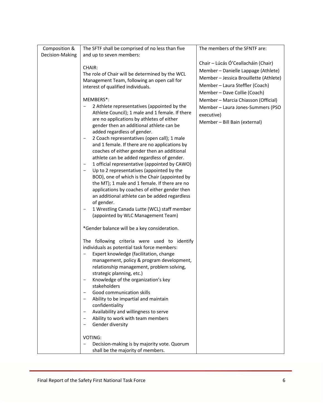|                 |                                                                           | The members of the SFNTF are:          |
|-----------------|---------------------------------------------------------------------------|----------------------------------------|
| Composition &   | The SFTF shall be comprised of no less than five                          |                                        |
| Decision-Making | and up to seven members:                                                  |                                        |
|                 |                                                                           | Chair - Lúcás Ó'Ceallacháin (Chair)    |
|                 | CHAIR:                                                                    | Member - Danielle Lappage (Athlete)    |
|                 | The role of Chair will be determined by the WCL                           |                                        |
|                 | Management Team, following an open call for                               | Member - Jessica Brouillette (Athlete) |
|                 | interest of qualified individuals.                                        | Member - Laura Steffler (Coach)        |
|                 |                                                                           | Member - Dave Collie (Coach)           |
|                 | MEMBERS*:                                                                 | Member - Marcia Chiasson (Official)    |
|                 | 2 Athlete representatives (appointed by the                               |                                        |
|                 | Athlete Council); 1 male and 1 female. If there                           | Member - Laura Jones-Summers (PSO      |
|                 | are no applications by athletes of either                                 | executive)                             |
|                 | gender then an additional athlete can be                                  | Member - Bill Bain (external)          |
|                 |                                                                           |                                        |
|                 | added regardless of gender.                                               |                                        |
|                 | 2 Coach representatives (open call); 1 male<br>$\qquad \qquad -$          |                                        |
|                 | and 1 female. If there are no applications by                             |                                        |
|                 | coaches of either gender then an additional                               |                                        |
|                 | athlete can be added regardless of gender.                                |                                        |
|                 | 1 official representative (appointed by CAWO)<br>$\overline{\phantom{a}}$ |                                        |
|                 | Up to 2 representatives (appointed by the                                 |                                        |
|                 | BOD), one of which is the Chair (appointed by                             |                                        |
|                 | the MT); 1 male and 1 female. If there are no                             |                                        |
|                 | applications by coaches of either gender then                             |                                        |
|                 | an additional athlete can be added regardless                             |                                        |
|                 | of gender.                                                                |                                        |
|                 | 1 Wrestling Canada Lutte (WCL) staff member                               |                                        |
|                 | (appointed by WLC Management Team)                                        |                                        |
|                 |                                                                           |                                        |
|                 | *Gender balance will be a key consideration.                              |                                        |
|                 | The following criteria were used to identify                              |                                        |
|                 | individuals as potential task force members:                              |                                        |
|                 | Expert knowledge (facilitation, change                                    |                                        |
|                 | management, policy & program development,                                 |                                        |
|                 | relationship management, problem solving,                                 |                                        |
|                 | strategic planning, etc.)                                                 |                                        |
|                 | Knowledge of the organization's key                                       |                                        |
|                 | stakeholders                                                              |                                        |
|                 | Good communication skills<br>$\overline{\phantom{0}}$                     |                                        |
|                 | Ability to be impartial and maintain<br>$\qquad \qquad -$                 |                                        |
|                 | confidentiality                                                           |                                        |
|                 | Availability and willingness to serve<br>$\qquad \qquad -$                |                                        |
|                 | Ability to work with team members<br>$\qquad \qquad -$                    |                                        |
|                 | Gender diversity<br>-                                                     |                                        |
|                 |                                                                           |                                        |
|                 | VOTING:                                                                   |                                        |
|                 | Decision-making is by majority vote. Quorum<br>$\qquad \qquad -$          |                                        |
|                 | shall be the majority of members.                                         |                                        |
|                 |                                                                           |                                        |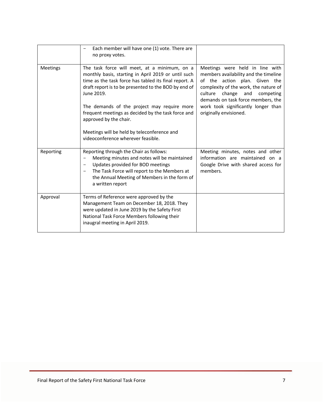|                 | Each member will have one (1) vote. There are<br>no proxy votes.                                                                                                                                                                                                                                                                                                                                                                                       |                                                                                                                                                                                                                                                                                                 |
|-----------------|--------------------------------------------------------------------------------------------------------------------------------------------------------------------------------------------------------------------------------------------------------------------------------------------------------------------------------------------------------------------------------------------------------------------------------------------------------|-------------------------------------------------------------------------------------------------------------------------------------------------------------------------------------------------------------------------------------------------------------------------------------------------|
| <b>Meetings</b> | The task force will meet, at a minimum, on a<br>monthly basis, starting in April 2019 or until such<br>time as the task force has tabled its final report. A<br>draft report is to be presented to the BOD by end of<br>June 2019.<br>The demands of the project may require more<br>frequent meetings as decided by the task force and<br>approved by the chair.<br>Meetings will be held by teleconference and<br>videoconference wherever feasible. | Meetings were held in line with<br>members availability and the timeline<br>of the action plan. Given the<br>complexity of the work, the nature of<br>change and<br>culture<br>competing<br>demands on task force members, the<br>work took significantly longer than<br>originally envisioned. |
| Reporting       | Reporting through the Chair as follows:<br>Meeting minutes and notes will be maintained<br>$\overline{\phantom{m}}$<br>Updates provided for BOD meetings<br>$\overline{\phantom{m}}$<br>The Task Force will report to the Members at<br>the Annual Meeting of Members in the form of<br>a written report                                                                                                                                               | Meeting minutes, notes and other<br>information are maintained on a<br>Google Drive with shared access for<br>members.                                                                                                                                                                          |
| Approval        | Terms of Reference were approved by the<br>Management Team on December 18, 2018. They<br>were updated in June 2019 by the Safety First<br>National Task Force Members following their<br>inaugral meeting in April 2019.                                                                                                                                                                                                                               |                                                                                                                                                                                                                                                                                                 |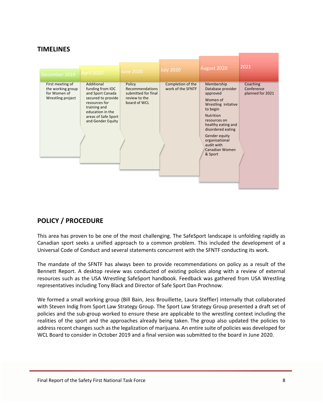### **TIMELINES**

| December 2019                                                              | April 2020                                                                                                                                                                | <b>June 2020</b>                                                                  | <b>July 2020</b>                       | August 2020                                                                                                                                                                                                                                             | 2021                                       |
|----------------------------------------------------------------------------|---------------------------------------------------------------------------------------------------------------------------------------------------------------------------|-----------------------------------------------------------------------------------|----------------------------------------|---------------------------------------------------------------------------------------------------------------------------------------------------------------------------------------------------------------------------------------------------------|--------------------------------------------|
| First meeting of<br>the working group<br>for Women of<br>Wrestling project | Additional<br>funding from IOC<br>and Sport Canada<br>secured to provide<br>resources for<br>training and<br>education in the<br>areas of Safe Sport<br>and Gender Equity | Policy<br>Recommendations<br>submitted for final<br>review to the<br>board of WCL | Completion of the<br>work of the SFNTF | Membership<br>Database provider<br>approved<br>Women of<br>Wrestling initative<br>to begin<br><b>Nutrition</b><br>resources on<br>healthy eating and<br>disordered eating<br>Gender equity<br>organisational<br>audit with<br>Canadian Women<br>& Sport | Coaching<br>Conference<br>planned for 2021 |

## **POLICY / PROCEDURE**

This area has proven to be one of the most challenging. The SafeSport landscape is unfolding rapidly as Canadian sport seeks a unified approach to a common problem. This included the development of a Universal Code of Conduct and several statements concurrent with the SFNTF conducting its work.

The mandate of the SFNTF has always been to provide recommendations on policy as a result of the Bennett Report. A desktop review was conducted of existing policies along with a review of external resources such as the USA Wrestling SafeSport handbook. Feedback was gathered from USA Wrestling representatives including Tony Black and Director of Safe Sport Dan Prochnow.

We formed a small working group (Bill Bain, Jess Brouillette, Laura Steffler) internally that collaborated with Steven Indig from Sport Law Strategy Group. The Sport Law Strategy Group presented a draft set of policies and the sub-group worked to ensure these are applicable to the wrestling context including the realities of the sport and the approaches already being taken. The group also updated the policies to address recent changes such as the legalization of marijuana. An entire suite of policies was developed for WCL Board to consider in October 2019 and a final version was submitted to the board in June 2020.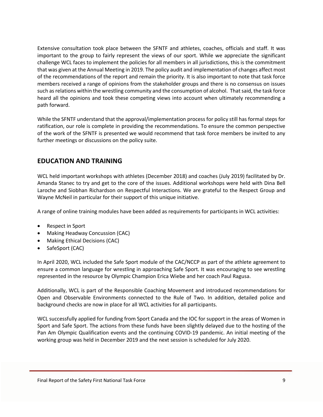Extensive consultation took place between the SFNTF and athletes, coaches, officials and staff. It was important to the group to fairly represent the views of our sport. While we appreciate the significant challenge WCL faces to implement the policies for all members in all jurisdictions, this is the commitment that was given at the Annual Meeting in 2019. The policy audit and implementation of changes affect most of the recommendations of the report and remain the priority. It is also important to note that task force members received a range of opinions from the stakeholder groups and there is no consensus on issues such as relations within the wrestling community and the consumption of alcohol. That said, the task force heard all the opinions and took these competing views into account when ultimately recommending a path forward.

While the SFNTF understand that the approval/implementation process for policy still has formal steps for ratification, our role is complete in providing the recommendations. To ensure the common perspective of the work of the SFNTF is presented we would recommend that task force members be invited to any further meetings or discussions on the policy suite.

### **EDUCATION AND TRAINING**

WCL held important workshops with athletes (December 2018) and coaches (July 2019) facilitated by Dr. Amanda Stanec to try and get to the core of the issues. Additional workshops were held with Dina Bell Laroche and Siobhan Richardson on Respectful Interactions. We are grateful to the Respect Group and Wayne McNeil in particular for their support of this unique initiative.

A range of online training modules have been added as requirements for participants in WCL activities:

- Respect in Sport
- Making Headway Concussion (CAC)
- Making Ethical Decisions (CAC)
- SafeSport (CAC)

In April 2020, WCL included the Safe Sport module of the CAC/NCCP as part of the athlete agreement to ensure a common language for wrestling in approaching Safe Sport. It was encouraging to see wrestling represented in the resource by Olympic Champion Erica Wiebe and her coach Paul Ragusa.

Additionally, WCL is part of the Responsible Coaching Movement and introduced recommendations for Open and Observable Environments connected to the Rule of Two. In addition, detailed police and background checks are now in place for all WCL activities for all participants.

WCL successfully applied for funding from Sport Canada and the IOC for support in the areas of Women in Sport and Safe Sport. The actions from these funds have been slightly delayed due to the hosting of the Pan Am Olympic Qualification events and the continuing COVID-19 pandemic. An initial meeting of the working group was held in December 2019 and the next session is scheduled for July 2020.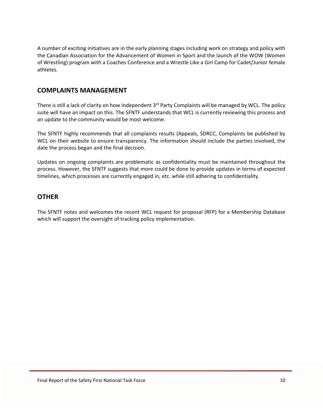A number of exciting initiatives are in the early planning stages including work on strategy and policy with the Canadian Association for the Advancement of Women in Sport and the launch of the WOW (Women of Wrestling) program with a Coaches Conference and a Wrestle Like a Girl Camp for Cadet/Junior female athletes.

### **COMPLAINTS MANAGEMENT**

There is still a lack of clarity on how Independent 3<sup>rd</sup> Party Complaints will be managed by WCL. The policy suite will have an impact on this. The SFNTF understands that WCL is currently reviewing this process and an update to the community would be most welcome.

The SFNTF highly recommends that all complaints results (Appeals, SDRCC, Complaints be published by WCL on their website to ensure transparency. The information should include the parties involved, the date the process began and the final decision.

Updates on ongoing complaints are problematic as confidentiality must be maintained throughout the process. However, the SFNTF suggests that more could be done to provide updates in terms of expected timelines, which processes are currently engaged in, etc. while still adhering to confidentiality.

#### **OTHER**

The SFNTF notes and welcomes the recent WCL request for proposal (RFP) for a Membership Database which will support the oversight of tracking policy implementation.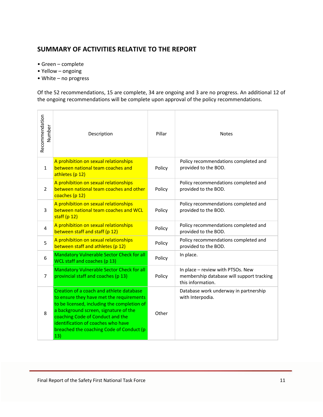## **SUMMARY OF ACTIVITIES RELATIVE TO THE REPORT**

- Green complete
- Yellow ongoing
- White no progress

Of the 52 recommendations, 15 are complete, 34 are ongoing and 3 are no progress. An additional 12 of the ongoing recommendations will be complete upon approval of the policy recommendations.

| Recommendation<br>Number | Description                                                                                                                                                                                                                                                                                               | Pillar | <b>Notes</b>                                                                                        |
|--------------------------|-----------------------------------------------------------------------------------------------------------------------------------------------------------------------------------------------------------------------------------------------------------------------------------------------------------|--------|-----------------------------------------------------------------------------------------------------|
| $\mathbf{1}$             | A prohibition on sexual relationships<br>between national team coaches and<br>athletes (p 12)                                                                                                                                                                                                             | Policy | Policy recommendations completed and<br>provided to the BOD.                                        |
| $\overline{2}$           | A prohibition on sexual relationships<br>between national team coaches and other<br>coaches (p 12)                                                                                                                                                                                                        | Policy | Policy recommendations completed and<br>provided to the BOD.                                        |
| 3                        | A prohibition on sexual relationships<br>between national team coaches and WCL<br>staff $(p 12)$                                                                                                                                                                                                          | Policy | Policy recommendations completed and<br>provided to the BOD.                                        |
| 4                        | A prohibition on sexual relationships<br>between staff and staff (p 12)                                                                                                                                                                                                                                   | Policy | Policy recommendations completed and<br>provided to the BOD.                                        |
| 5                        | A prohibition on sexual relationships<br>between staff and athletes (p 12)                                                                                                                                                                                                                                | Policy | Policy recommendations completed and<br>provided to the BOD.                                        |
| 6                        | Mandatory Vulnerable Sector Check for all<br>WCL staff and coaches (p 13)                                                                                                                                                                                                                                 | Policy | In place.                                                                                           |
| $\overline{7}$           | Mandatory Vulnerable Sector Check for all<br>provincial staff and coaches (p 13)                                                                                                                                                                                                                          | Policy | In place - review with PTSOs. New<br>membership database will support tracking<br>this information. |
| 8                        | Creation of a coach and athlete database<br>to ensure they have met the requirements<br>to be licensed, including the completion of<br>a background screen, signature of the<br>coaching Code of Conduct and the<br>identification of coaches who have<br>breached the coaching Code of Conduct (p<br>13) | Other  | Database work underway in partnership<br>with Interpodia.                                           |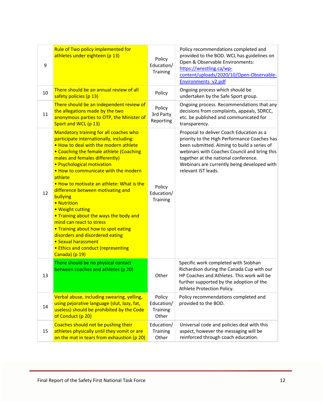| 9  | Rule of Two policy implemented for<br>athletes under eighteen (p 13)                                                                                                                                                                                                                                                                                                                                                                                                                                                                                                                                                                                                   | Policy<br>Education/<br>Training          | Policy recommendations completed and<br>provided to the BOD. WCL has guidelines on<br>Open & Observable Environments:<br>https://wrestling.ca/wp-<br>content/uploads/2020/10/Open-Observable-<br>Environments v2.pdf                                                                                  |
|----|------------------------------------------------------------------------------------------------------------------------------------------------------------------------------------------------------------------------------------------------------------------------------------------------------------------------------------------------------------------------------------------------------------------------------------------------------------------------------------------------------------------------------------------------------------------------------------------------------------------------------------------------------------------------|-------------------------------------------|-------------------------------------------------------------------------------------------------------------------------------------------------------------------------------------------------------------------------------------------------------------------------------------------------------|
| 10 | There should be an annual review of all<br>safety policies (p 13)                                                                                                                                                                                                                                                                                                                                                                                                                                                                                                                                                                                                      | Policy                                    | Ongoing process which should be<br>undertaken by the Safe Sport group.                                                                                                                                                                                                                                |
| 11 | There should be an independent review of<br>the allegations made by the two<br>anonymous parties to OTP, the Minister of<br>Sport and WCL (p 13)                                                                                                                                                                                                                                                                                                                                                                                                                                                                                                                       | Policy<br>3rd Party<br>Reporting          | Ongoing process. Recommendations that any<br>decisions from complaints, appeals, SDRCC,<br>etc. be published and communicated for<br>transparency.                                                                                                                                                    |
| 12 | <b>Mandatory training for all coaches who</b><br>participate internationally, including:<br>. How to deal with the modern athlete<br>• Coaching the female athlete (Coaching<br>males and females differently)<br>• Psychological motivation<br>. How to communicate with the modern<br>athlete<br>. How to motivate an athlete: What is the<br>difference between motivating and<br>bullying<br>• Nutrition<br>• Weight cutting<br>. Training about the ways the body and<br>mind can react to stress<br>. Training about how to spot eating<br>disorders and disordered eating<br>• Sexual harassment<br><b>• Ethics and conduct (representing</b><br>Canada) (p 19) | Policy<br>Education/<br><b>Training</b>   | Proposal to deliver Coach Education as a<br>priority to the High Performance Coaches has<br>been submitted. Aiming to build a series of<br>webinars with Coaches Council and bring this<br>together at the national conference.<br>Webinars are currently being developed with<br>relevant IST leads. |
| 13 | There should be no physical contact<br>between coaches and athletes (p 20)                                                                                                                                                                                                                                                                                                                                                                                                                                                                                                                                                                                             | Other                                     | Specific work completed with Siobhan<br>Richardson during the Canada Cup with our<br>HP Coaches and Athletes. This work will be<br>further supported by the adoption of the<br>Athlete Protection Policy.                                                                                             |
| 14 | Verbal abuse, including swearing, yelling,<br>using pejorative language (slut, lazy, fat,<br>useless) should be prohibited by the Code<br>of Conduct (p 20)                                                                                                                                                                                                                                                                                                                                                                                                                                                                                                            | Policy<br>Education/<br>Training<br>Other | Policy recommendations completed and<br>provided to the BOD.                                                                                                                                                                                                                                          |
| 15 | Coaches should not be pushing their<br>athletes physically until they vomit or are<br>on the mat in tears from exhaustion (p 20)                                                                                                                                                                                                                                                                                                                                                                                                                                                                                                                                       | Education/<br>Training<br>Other           | Universal code and policies deal with this<br>aspect, however the messaging will be<br>reinforced through coach education.                                                                                                                                                                            |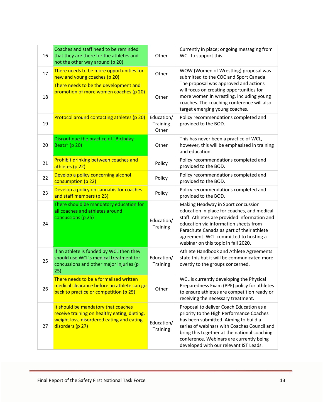| 16 | Coaches and staff need to be reminded<br>that they are there for the athletes and<br>not the other way around (p 20)                                 | Other                           | Currently in place; ongoing messaging from<br>WCL to support this.                                                                                                                                                                                                                                                 |
|----|------------------------------------------------------------------------------------------------------------------------------------------------------|---------------------------------|--------------------------------------------------------------------------------------------------------------------------------------------------------------------------------------------------------------------------------------------------------------------------------------------------------------------|
| 17 | There needs to be more opportunities for<br>new and young coaches (p 20)                                                                             | Other                           | WOW (Women of Wrestling) proposal was<br>submitted to the COC and Sport Canada.                                                                                                                                                                                                                                    |
| 18 | There needs to be the development and<br>promotion of more women coaches (p 20)                                                                      | Other                           | The proposal was approved and actions<br>will focus on creating opportunities for<br>more women in wrestling, including young<br>coaches. The coaching conference will also<br>target emerging young coaches.                                                                                                      |
| 19 | Protocol around contacting athletes (p 20)                                                                                                           | Education/<br>Training<br>Other | Policy recommendations completed and<br>provided to the BOD.                                                                                                                                                                                                                                                       |
| 20 | Discontinue the practice of "Birthday<br>Beats" (p 20)                                                                                               | Other                           | This has never been a practice of WCL,<br>however, this will be emphasized in training<br>and education.                                                                                                                                                                                                           |
| 21 | Prohibit drinking between coaches and<br>athletes (p 22)                                                                                             | Policy                          | Policy recommendations completed and<br>provided to the BOD.                                                                                                                                                                                                                                                       |
| 22 | Develop a policy concerning alcohol<br>consumption (p 22)                                                                                            | Policy                          | Policy recommendations completed and<br>provided to the BOD.                                                                                                                                                                                                                                                       |
| 23 | Develop a policy on cannabis for coaches<br>and staff members (p 23)                                                                                 | Policy                          | Policy recommendations completed and<br>provided to the BOD.                                                                                                                                                                                                                                                       |
| 24 | There should be mandatory education for<br>all coaches and athletes around<br>concussions (p 25)                                                     | Education/<br>Training          | Making Headway in Sport concussion<br>education in place for coaches, and medical<br>staff. Athletes are provided information and<br>education via information sheets from<br>Parachute Canada as part of their athlete<br>agreement. WCL committed to hosting a<br>webinar on this topic in fall 2020.            |
| 25 | If an athlete is funded by WCL then they<br>should use WCL's medical treatment for<br>concussions and other major injuries (p<br>25)                 | Education/<br><b>Training</b>   | Athlete Handbook and Athlete Agreements<br>state this but it will be communicated more<br>overtly to the groups concerned.                                                                                                                                                                                         |
| 26 | There needs to be a formalized written<br>medical clearance before an athlete can go<br>back to practice or competition (p 25)                       | Other                           | WCL is currently developing the Physical<br>Preparedness Exam (PPE) policy for athletes<br>to ensure athletes are competition ready or<br>receiving the necessary treatment.                                                                                                                                       |
| 27 | It should be mandatory that coaches<br>receive training on healthy eating, dieting,<br>weight loss, disordered eating and eating<br>disorders (p 27) | Education/<br>Training          | Proposal to deliver Coach Education as a<br>priority to the High Performance Coaches<br>has been submitted. Aiming to build a<br>series of webinars with Coaches Council and<br>bring this together at the national coaching<br>conference. Webinars are currently being<br>developed with our relevant IST Leads. |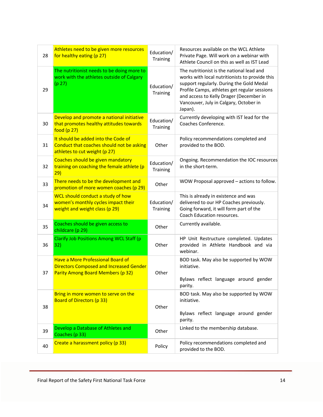| 28 | Athletes need to be given more resources<br>for healthy eating (p 27)                                                           | Education/<br><b>Training</b> | Resources available on the WCL Athlete<br>Private Page. Will work on a webinar with<br>Athlete Council on this as well as IST Lead                                                                                                                                                      |
|----|---------------------------------------------------------------------------------------------------------------------------------|-------------------------------|-----------------------------------------------------------------------------------------------------------------------------------------------------------------------------------------------------------------------------------------------------------------------------------------|
| 29 | The nutritionist needs to be doing more to<br>work with the athletes outside of Calgary<br>(p 27)                               | Education/<br><b>Training</b> | The nutritionist is the national lead and<br>works with local nutritionists to provide this<br>support regularly. During the Gold Medal<br>Profile Camps, athletes get regular sessions<br>and access to Kelly Drager (December in<br>Vancouver, July in Calgary, October in<br>Japan). |
| 30 | Develop and promote a national initiative<br>that promotes healthy attitudes towards<br>food $(p 27)$                           | Education/<br><b>Training</b> | Currently developing with IST lead for the<br>Coaches Conference.                                                                                                                                                                                                                       |
| 31 | It should be added into the Code of<br>Conduct that coaches should not be asking<br>athletes to cut weight (p 27)               | Other                         | Policy recommendations completed and<br>provided to the BOD.                                                                                                                                                                                                                            |
| 32 | Coaches should be given mandatory<br>training on coaching the female athlete (p<br>29)                                          | Education/<br><b>Training</b> | Ongoing. Recommendation the IOC resources<br>in the short-term.                                                                                                                                                                                                                         |
| 33 | There needs to be the development and<br>promotion of more women coaches (p 29)                                                 | Other                         | WOW Proposal approved - actions to follow.                                                                                                                                                                                                                                              |
| 34 | WCL should conduct a study of how<br>women's monthly cycles impact their<br>weight and weight class (p 29)                      | Education/<br><b>Training</b> | This is already in existence and was<br>delivered to our HP Coaches previously.<br>Going forward, it will form part of the<br>Coach Education resources.                                                                                                                                |
| 35 | Coaches should be given access to<br>childcare (p 29)                                                                           | Other                         | Currently available.                                                                                                                                                                                                                                                                    |
| 36 | <b>Clarify Job Positions Among WCL Staff (p</b><br>32)                                                                          | Other                         | HP Unit Restructure completed. Updates<br>provided in Athlete Handbook and via<br>webinar.                                                                                                                                                                                              |
| 37 | <b>Have a More Professional Board of</b><br><b>Directors Composed and Increased Gender</b><br>Parity Among Board Members (p 32) | Other                         | BOD task. May also be supported by WOW<br>initiative.<br>Bylaws reflect language around gender<br>parity.                                                                                                                                                                               |
| 38 | Bring in more women to serve on the<br><b>Board of Directors (p 33)</b>                                                         | Other                         | BOD task. May also be supported by WOW<br>initiative.<br>Bylaws reflect language around gender<br>parity.                                                                                                                                                                               |
| 39 | Develop a Database of Athletes and<br>Coaches (p 33)                                                                            | Other                         | Linked to the membership database.                                                                                                                                                                                                                                                      |
| 40 | Create a harassment policy (p 33)                                                                                               | Policy                        | Policy recommendations completed and<br>provided to the BOD.                                                                                                                                                                                                                            |